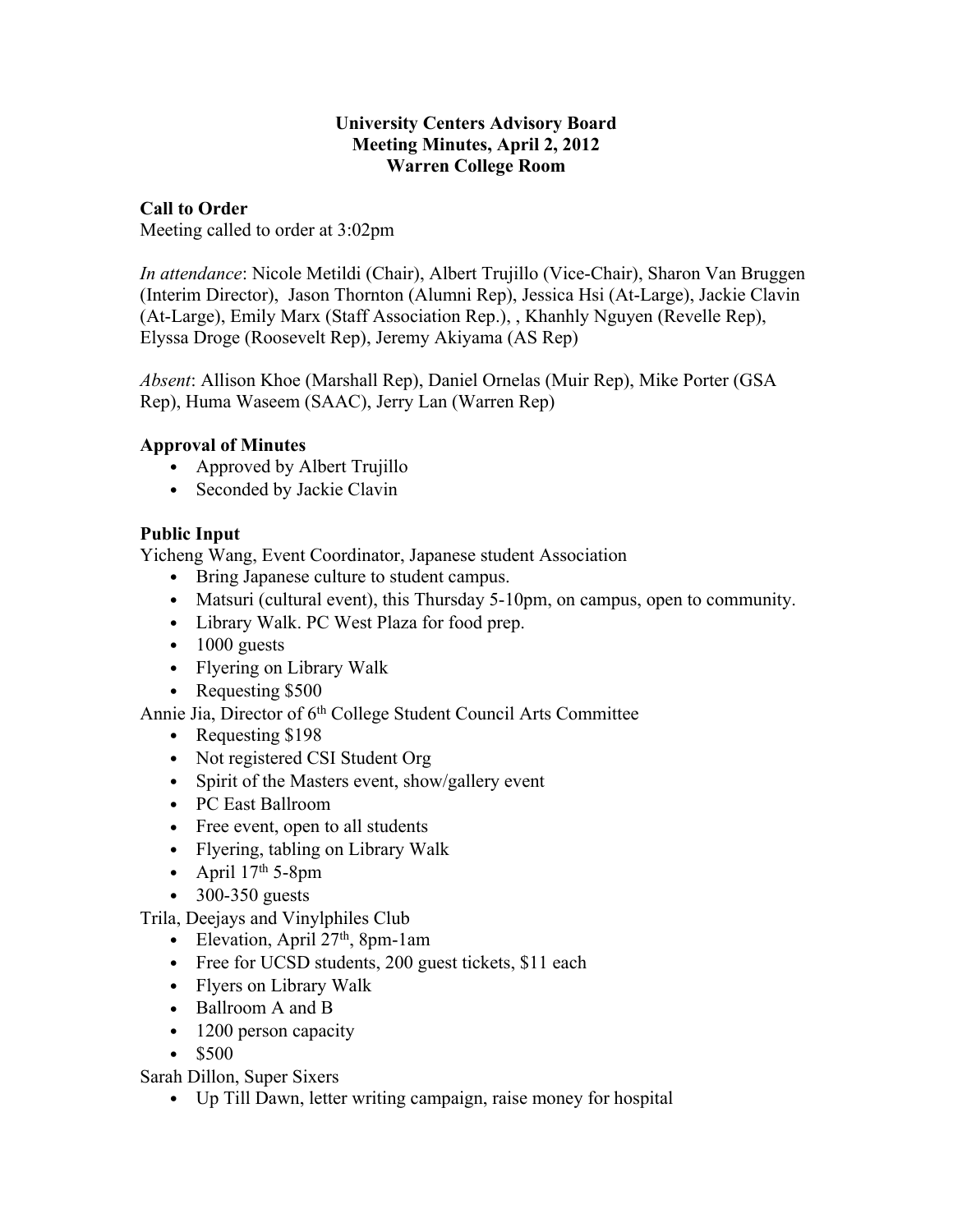#### **University Centers Advisory Board Meeting Minutes, April 2, 2012 Warren College Room**

#### **Call to Order**

Meeting called to order at 3:02pm

*In attendance*: Nicole Metildi (Chair), Albert Trujillo (Vice-Chair), Sharon Van Bruggen (Interim Director), Jason Thornton (Alumni Rep), Jessica Hsi (At-Large), Jackie Clavin (At-Large), Emily Marx (Staff Association Rep.), , Khanhly Nguyen (Revelle Rep), Elyssa Droge (Roosevelt Rep), Jeremy Akiyama (AS Rep)

*Absent*: Allison Khoe (Marshall Rep), Daniel Ornelas (Muir Rep), Mike Porter (GSA Rep), Huma Waseem (SAAC), Jerry Lan (Warren Rep)

### **Approval of Minutes**

- Approved by Albert Trujillo
- Seconded by Jackie Clavin

### **Public Input**

Yicheng Wang, Event Coordinator, Japanese student Association

- Bring Japanese culture to student campus.
- Matsuri (cultural event), this Thursday 5-10pm, on campus, open to community.
- Library Walk. PC West Plaza for food prep.
- $\bullet$  1000 guests
- Flyering on Library Walk
- Requesting \$500
- Annie Jia, Director of 6th College Student Council Arts Committee
	- Requesting \$198
	- Not registered CSI Student Org
	- Spirit of the Masters event, show/gallery event
	- PC East Ballroom
	- Free event, open to all students
	- Flyering, tabling on Library Walk
	- April  $17<sup>th</sup>$  5-8pm
	- $\bullet$  300-350 guests

Trila, Deejays and Vinylphiles Club

- Elevation, April 27<sup>th</sup>, 8pm-1am
- Free for UCSD students, 200 guest tickets, \$11 each
- Flyers on Library Walk
- Ballroom A and B
- 1200 person capacity
- \$500

Sarah Dillon, Super Sixers

• Up Till Dawn, letter writing campaign, raise money for hospital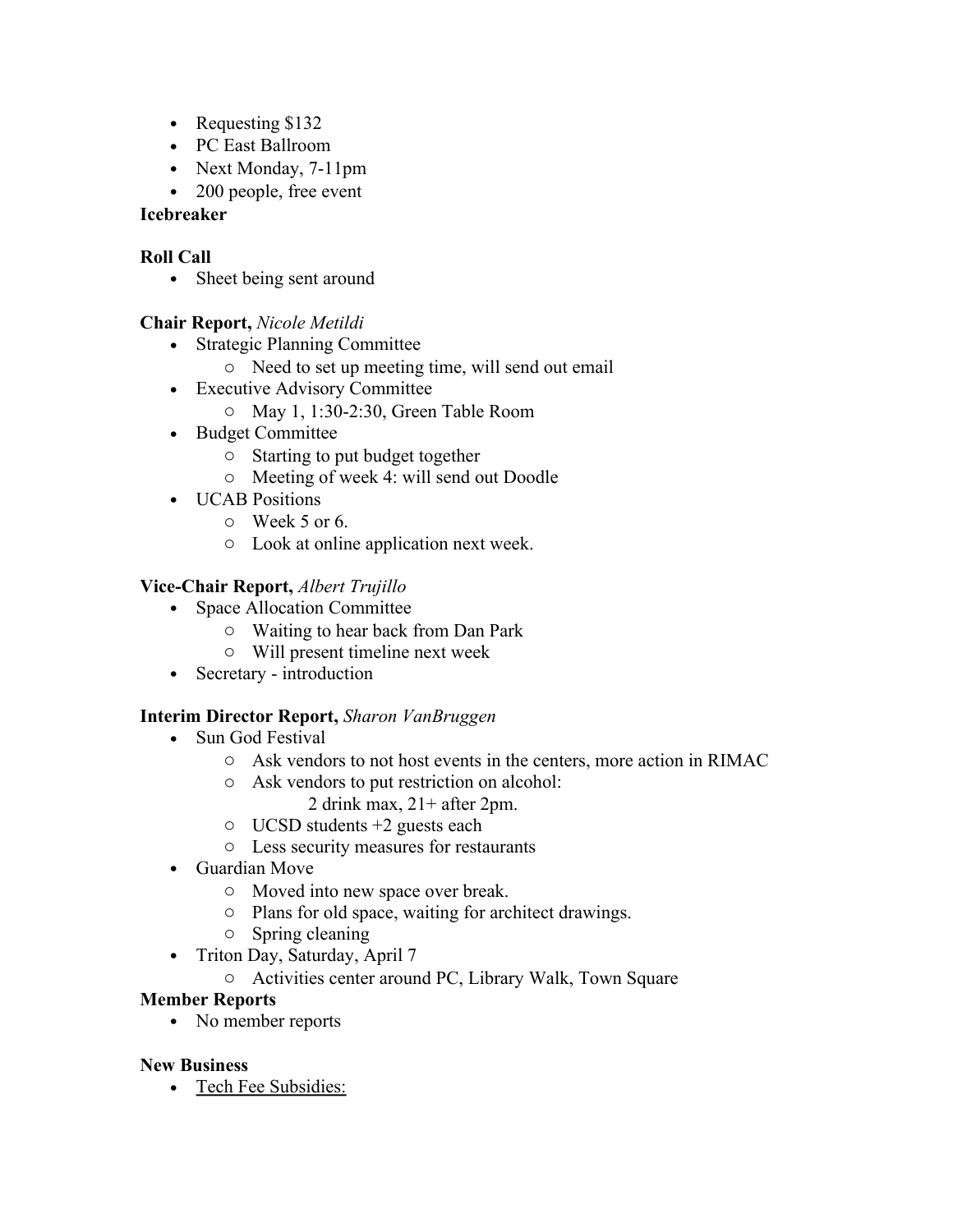- Requesting \$132
- PC East Ballroom
- Next Monday, 7-11pm
- 200 people, free event

# **Icebreaker**

# **Roll Call**

• Sheet being sent around

# **Chair Report,** *Nicole Metildi*

- Strategic Planning Committee
	- o Need to set up meeting time, will send out email
- Executive Advisory Committee
	- o May 1, 1:30-2:30, Green Table Room
- Budget Committee
	- o Starting to put budget together
	- o Meeting of week 4: will send out Doodle
- UCAB Positions
	- o Week 5 or 6.
	- o Look at online application next week.

# **Vice-Chair Report,** *Albert Trujillo*

- Space Allocation Committee
	- o Waiting to hear back from Dan Park
	- o Will present timeline next week
- Secretary introduction

# **Interim Director Report,** *Sharon VanBruggen*

- Sun God Festival
	- o Ask vendors to not host events in the centers, more action in RIMAC
	- o Ask vendors to put restriction on alcohol:
		- 2 drink max, 21+ after 2pm.
	- o UCSD students +2 guests each
	- o Less security measures for restaurants
- Guardian Move
	- o Moved into new space over break.
	- o Plans for old space, waiting for architect drawings.
	- o Spring cleaning
- Triton Day, Saturday, April 7
	- o Activities center around PC, Library Walk, Town Square

# **Member Reports**

• No member reports

# **New Business**

• Tech Fee Subsidies: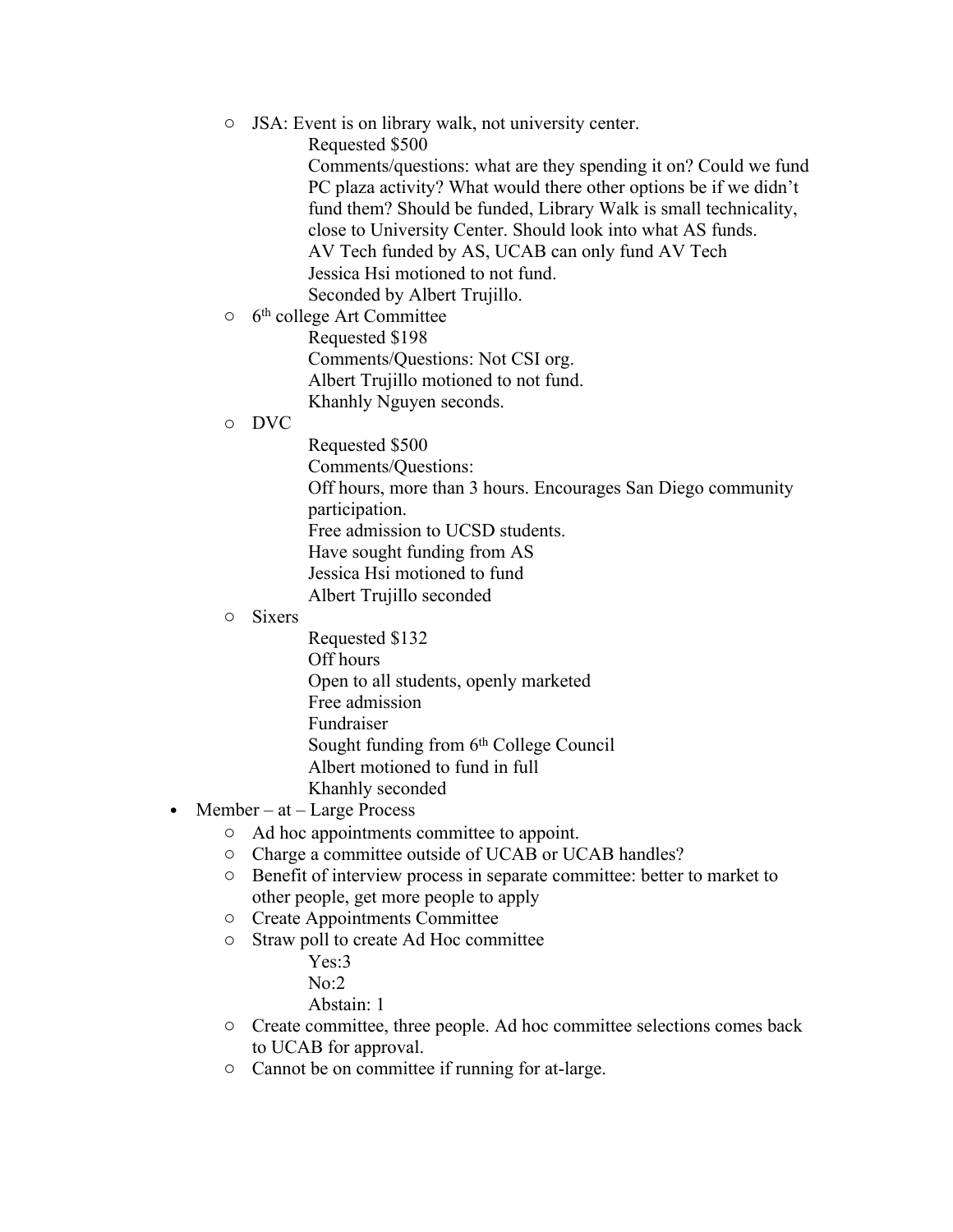- o JSA: Event is on library walk, not university center.
	- Requested \$500

Comments/questions: what are they spending it on? Could we fund PC plaza activity? What would there other options be if we didn't fund them? Should be funded, Library Walk is small technicality, close to University Center. Should look into what AS funds. AV Tech funded by AS, UCAB can only fund AV Tech Jessica Hsi motioned to not fund. Seconded by Albert Trujillo.

o 6<sup>th</sup> college Art Committee

Requested \$198 Comments/Questions: Not CSI org. Albert Trujillo motioned to not fund. Khanhly Nguyen seconds.

#### o DVC

Requested \$500 Comments/Questions: Off hours, more than 3 hours. Encourages San Diego community participation. Free admission to UCSD students. Have sought funding from AS Jessica Hsi motioned to fund Albert Trujillo seconded

#### o Sixers

Requested \$132 Off hours Open to all students, openly marketed Free admission Fundraiser Sought funding from 6<sup>th</sup> College Council Albert motioned to fund in full Khanhly seconded

- Member at Large Process
	- o Ad hoc appointments committee to appoint.
	- o Charge a committee outside of UCAB or UCAB handles?
	- o Benefit of interview process in separate committee: better to market to other people, get more people to apply
	- o Create Appointments Committee
	- o Straw poll to create Ad Hoc committee
		- Yes:3
		- No:2
		- Abstain: 1
	- o Create committee, three people. Ad hoc committee selections comes back to UCAB for approval.
	- o Cannot be on committee if running for at-large.